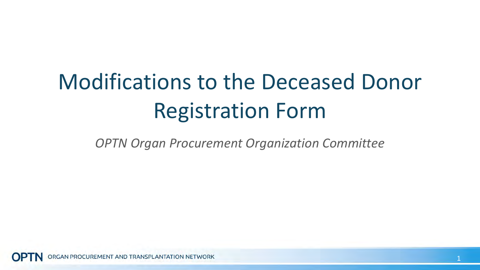# Modifications to the Deceased Donor Registration Form

*OPTN Organ Procurement Organization Committee*

**GAN PROCUREMENT AND TRANSPLANTATION NETWORK**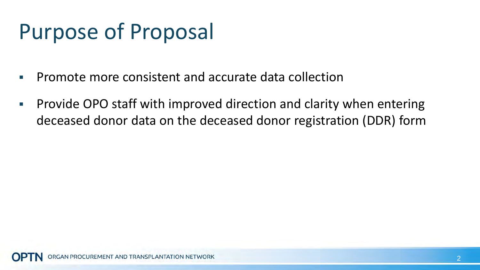# Purpose of Proposal

- **Promote more consistent and accurate data collection**
- **Provide OPO staff with improved direction and clarity when entering** deceased donor data on the deceased donor registration (DDR) form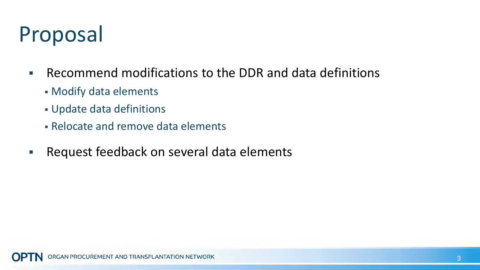## Proposal

- Recommend modifications to the DDR and data definitions
	- Modify data elements
	- Update data definitions
	- Relocate and remove data elements
- **Request feedback on several data elements**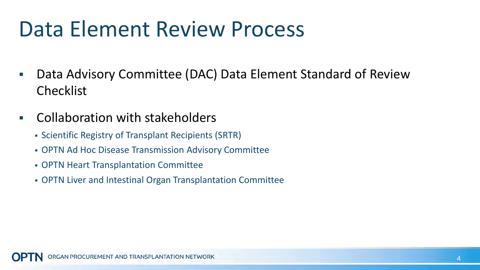#### Data Element Review Process

- Data Advisory Committee (DAC) Data Element Standard of Review Checklist
- Collaboration with stakeholders
	- Scientific Registry of Transplant Recipients (SRTR)
	- OPTN Ad Hoc Disease Transmission Advisory Committee
	- OPTN Heart Transplantation Committee
	- OPTN Liver and Intestinal Organ Transplantation Committee

GAN PROCUREMENT AND TRANSPLANTATION NETWORK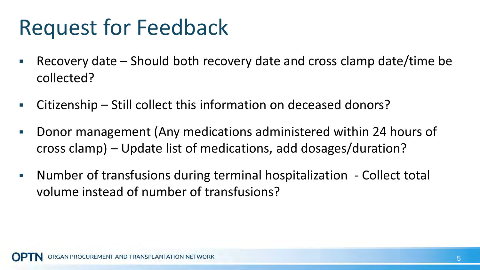## Request for Feedback

- Recovery date Should both recovery date and cross clamp date/time be collected?
- Citizenship Still collect this information on deceased donors?
- Donor management (Any medications administered within 24 hours of cross clamp) – Update list of medications, add dosages/duration?
- Number of transfusions during terminal hospitalization Collect total volume instead of number of transfusions?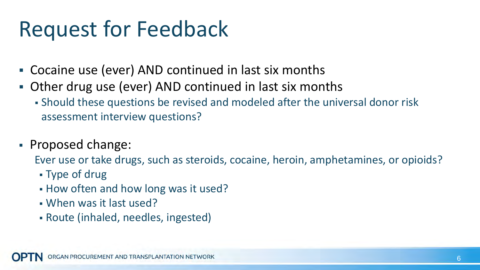## Request for Feedback

- Cocaine use (ever) AND continued in last six months
- Other drug use (ever) AND continued in last six months
	- Should these questions be revised and modeled after the universal donor risk assessment interview questions?
- Proposed change:

Ever use or take drugs, such as steroids, cocaine, heroin, amphetamines, or opioids?

- Type of drug
- **How often and how long was it used?**
- When was it last used?
- Route (inhaled, needles, ingested)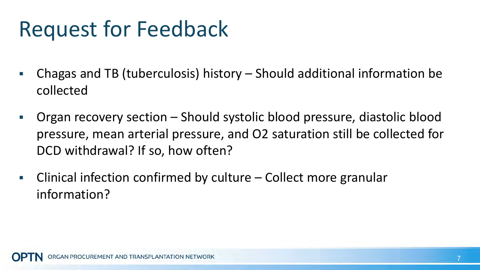## Request for Feedback

- Chagas and TB (tuberculosis) history Should additional information be collected
- Organ recovery section Should systolic blood pressure, diastolic blood pressure, mean arterial pressure, and O2 saturation still be collected for DCD withdrawal? If so, how often?
- Clinical infection confirmed by culture Collect more granular information?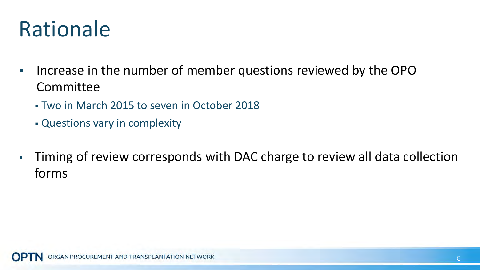#### Rationale

- **If all increase in the number of member questions reviewed by the OPO** Committee
	- Two in March 2015 to seven in October 2018
	- Questions vary in complexity
- Timing of review corresponds with DAC charge to review all data collection forms